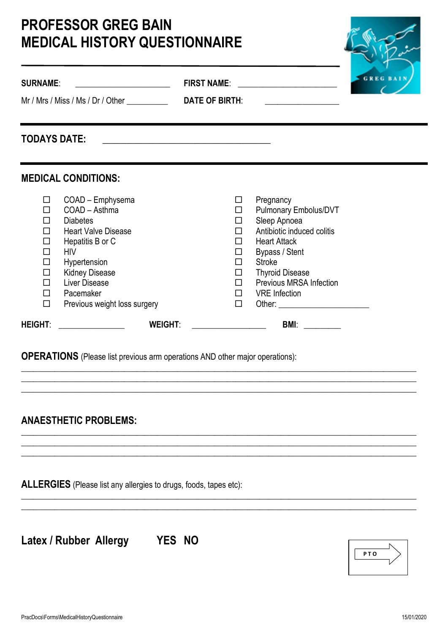# **PROFESSOR GREG BAIN MEDICAL HISTORY QUESTIONNAIRE**

| <b>SURNAME:</b>                                          |                                                                                                                                                                                                                                  | <b>FIRST NAME:</b>                                  | <u> 1999 - Johann Barbara, martin a</u>                                                                                                                                                                                        |  |
|----------------------------------------------------------|----------------------------------------------------------------------------------------------------------------------------------------------------------------------------------------------------------------------------------|-----------------------------------------------------|--------------------------------------------------------------------------------------------------------------------------------------------------------------------------------------------------------------------------------|--|
| <b>TODAYS DATE:</b>                                      |                                                                                                                                                                                                                                  |                                                     |                                                                                                                                                                                                                                |  |
| □<br>П<br>□<br>$\Box$<br>$\Box$<br>□<br>$\Box$<br>$\Box$ | <b>MEDICAL CONDITIONS:</b><br>COAD - Emphysema<br>COAD - Asthma<br><b>Diabetes</b><br><b>Heart Valve Disease</b><br>Hepatitis B or C<br><b>HIV</b><br>Hypertension<br><b>Kidney Disease</b><br><b>Liver Disease</b><br>Pacemaker | □<br>□<br>□<br>п<br>□<br>□<br>□<br>□<br>$\Box$<br>П | Pregnancy<br><b>Pulmonary Embolus/DVT</b><br>Sleep Apnoea<br>Antibiotic induced colitis<br><b>Heart Attack</b><br>Bypass / Stent<br><b>Stroke</b><br><b>Thyroid Disease</b><br>Previous MRSA Infection<br><b>VRE</b> Infection |  |
| $\Box$<br><b>HEIGHT:</b>                                 | Previous weight loss surgery<br><b>WEIGHT:</b>                                                                                                                                                                                   | $\Box$                                              | Other: _________________________<br><b>BMI:</b>                                                                                                                                                                                |  |

**\_\_\_\_\_\_\_\_\_\_\_\_\_\_\_\_\_\_\_\_\_\_\_\_\_\_\_\_\_\_\_\_\_\_\_\_\_\_\_\_\_\_\_\_\_\_\_\_\_\_\_\_\_\_\_\_\_\_\_\_\_\_\_\_\_\_\_\_\_\_\_\_\_\_\_\_\_\_\_\_\_\_\_\_\_\_\_\_\_\_\_\_\_\_\_\_ \_\_\_\_\_\_\_\_\_\_\_\_\_\_\_\_\_\_\_\_\_\_\_\_\_\_\_\_\_\_\_\_\_\_\_\_\_\_\_\_\_\_\_\_\_\_\_\_\_\_\_\_\_\_\_\_\_\_\_\_\_\_\_\_\_\_\_\_\_\_\_\_\_\_\_\_\_\_\_\_\_\_\_\_\_\_\_\_\_\_\_\_\_\_\_\_ \_\_\_\_\_\_\_\_\_\_\_\_\_\_\_\_\_\_\_\_\_\_\_\_\_\_\_\_\_\_\_\_\_\_\_\_\_\_\_\_\_\_\_\_\_\_\_\_\_\_\_\_\_\_\_\_\_\_\_\_\_\_\_\_\_\_\_\_\_\_\_\_\_\_\_\_\_\_\_\_\_\_\_\_\_\_\_\_\_\_\_\_\_\_\_\_**

**\_\_\_\_\_\_\_\_\_\_\_\_\_\_\_\_\_\_\_\_\_\_\_\_\_\_\_\_\_\_\_\_\_\_\_\_\_\_\_\_\_\_\_\_\_\_\_\_\_\_\_\_\_\_\_\_\_\_\_\_\_\_\_\_\_\_\_\_\_\_\_\_\_\_\_\_\_\_\_\_\_\_\_\_\_\_\_\_\_\_\_\_\_\_\_\_ \_\_\_\_\_\_\_\_\_\_\_\_\_\_\_\_\_\_\_\_\_\_\_\_\_\_\_\_\_\_\_\_\_\_\_\_\_\_\_\_\_\_\_\_\_\_\_\_\_\_\_\_\_\_\_\_\_\_\_\_\_\_\_\_\_\_\_\_\_\_\_\_\_\_\_\_\_\_\_\_\_\_\_\_\_\_\_\_\_\_\_\_\_\_\_\_ \_\_\_\_\_\_\_\_\_\_\_\_\_\_\_\_\_\_\_\_\_\_\_\_\_\_\_\_\_\_\_\_\_\_\_\_\_\_\_\_\_\_\_\_\_\_\_\_\_\_\_\_\_\_\_\_\_\_\_\_\_\_\_\_\_\_\_\_\_\_\_\_\_\_\_\_\_\_\_\_\_\_\_\_\_\_\_\_\_\_\_\_\_\_\_\_**

**\_\_\_\_\_\_\_\_\_\_\_\_\_\_\_\_\_\_\_\_\_\_\_\_\_\_\_\_\_\_\_\_\_\_\_\_\_\_\_\_\_\_\_\_\_\_\_\_\_\_\_\_\_\_\_\_\_\_\_\_\_\_\_\_\_\_\_\_\_\_\_\_\_\_\_\_\_\_\_\_\_\_\_\_\_\_\_\_\_\_\_\_\_\_\_\_ \_\_\_\_\_\_\_\_\_\_\_\_\_\_\_\_\_\_\_\_\_\_\_\_\_\_\_\_\_\_\_\_\_\_\_\_\_\_\_\_\_\_\_\_\_\_\_\_\_\_\_\_\_\_\_\_\_\_\_\_\_\_\_\_\_\_\_\_\_\_\_\_\_\_\_\_\_\_\_\_\_\_\_\_\_\_\_\_\_\_\_\_\_\_\_\_**

**OPERATIONS** (Please list previous arm operations AND other major operations):

## **ANAESTHETIC PROBLEMS:**

**ALLERGIES** (Please list any allergies to drugs, foods, tapes etc):

**Latex / Rubber Allergy YES NO**

| PTO |  |
|-----|--|
|     |  |
|     |  |